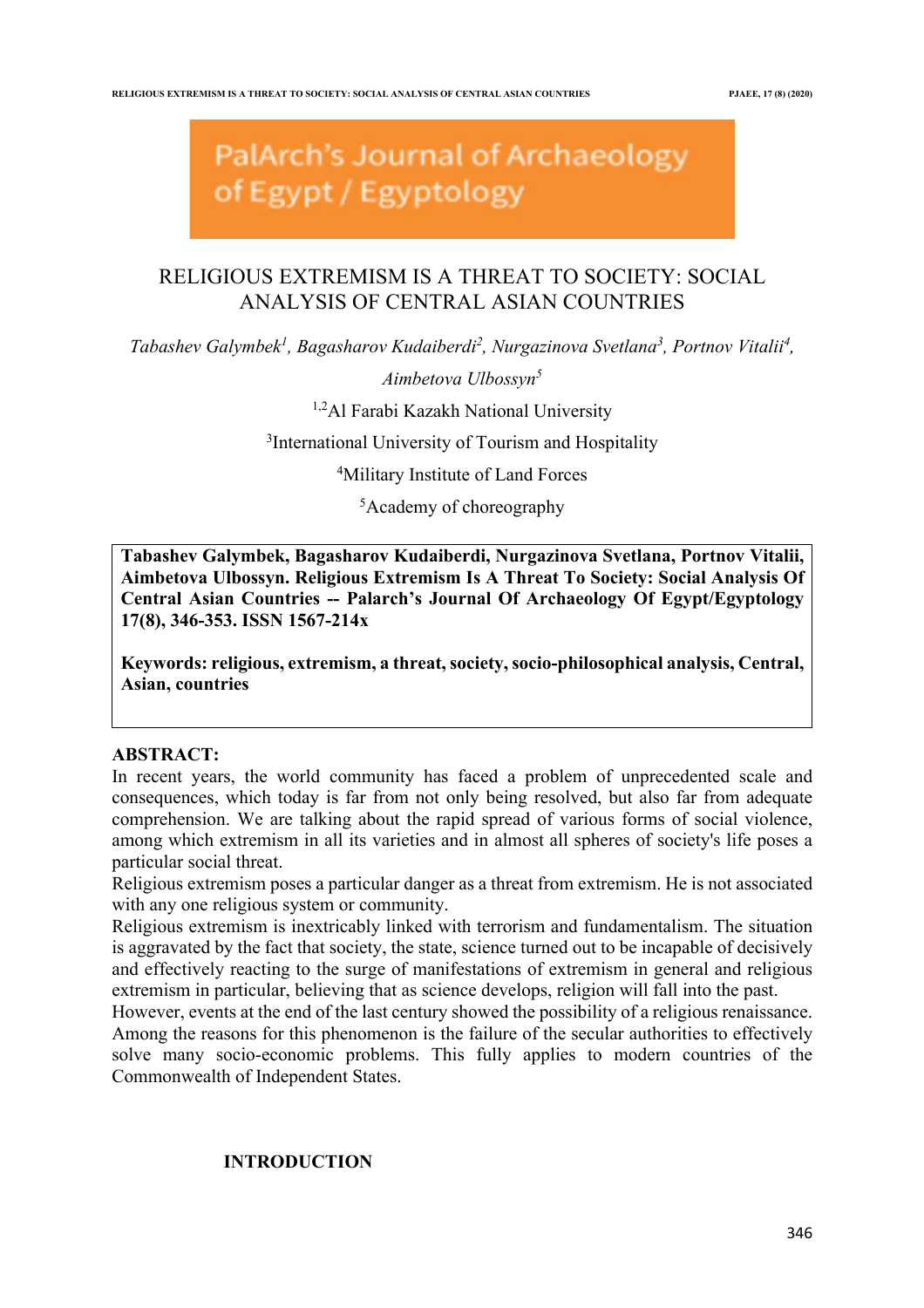# PalArch's Journal of Archaeology of Egypt / Egyptology

# RELIGIOUS EXTREMISM IS A THREAT TO SOCIETY: SOCIAL ANALYSIS OF CENTRAL ASIAN COUNTRIES

Tabashev Galymbek<sup>1</sup>, Bagasharov Kudaiberdi<sup>2</sup>, Nurgazinova Svetlana<sup>3</sup>, Portnov Vitalii<sup>4</sup>,

*Aimbetova Ulbossyn5*

<sup>1,2</sup>Al Farabi Kazakh National University

<sup>3</sup>International University of Tourism and Hospitality

4 Military Institute of Land Forces

5 Academy of choreography

**Tabashev Galymbek, Bagasharov Kudaiberdi, Nurgazinova Svetlana, Portnov Vitalii, Aimbetova Ulbossyn. Religious Extremism Is A Threat To Society: Social Analysis Of Central Asian Countries -- Palarch's Journal Of Archaeology Of Egypt/Egyptology 17(8), 346-353. ISSN 1567-214x**

**Keywords: religious, extremism, a threat, society, socio-philosophical analysis, Central, Asian, countries**

## **ABSTRACT:**

In recent years, the world community has faced a problem of unprecedented scale and consequences, which today is far from not only being resolved, but also far from adequate comprehension. We are talking about the rapid spread of various forms of social violence, among which extremism in all its varieties and in almost all spheres of society's life poses a particular social threat.

Religious extremism poses a particular danger as a threat from extremism. He is not associated with any one religious system or community.

Religious extremism is inextricably linked with terrorism and fundamentalism. The situation is aggravated by the fact that society, the state, science turned out to be incapable of decisively and effectively reacting to the surge of manifestations of extremism in general and religious extremism in particular, believing that as science develops, religion will fall into the past.

However, events at the end of the last century showed the possibility of a religious renaissance. Among the reasons for this phenomenon is the failure of the secular authorities to effectively solve many socio-economic problems. This fully applies to modern countries of the Commonwealth of Independent States.

# **INTRODUCTION**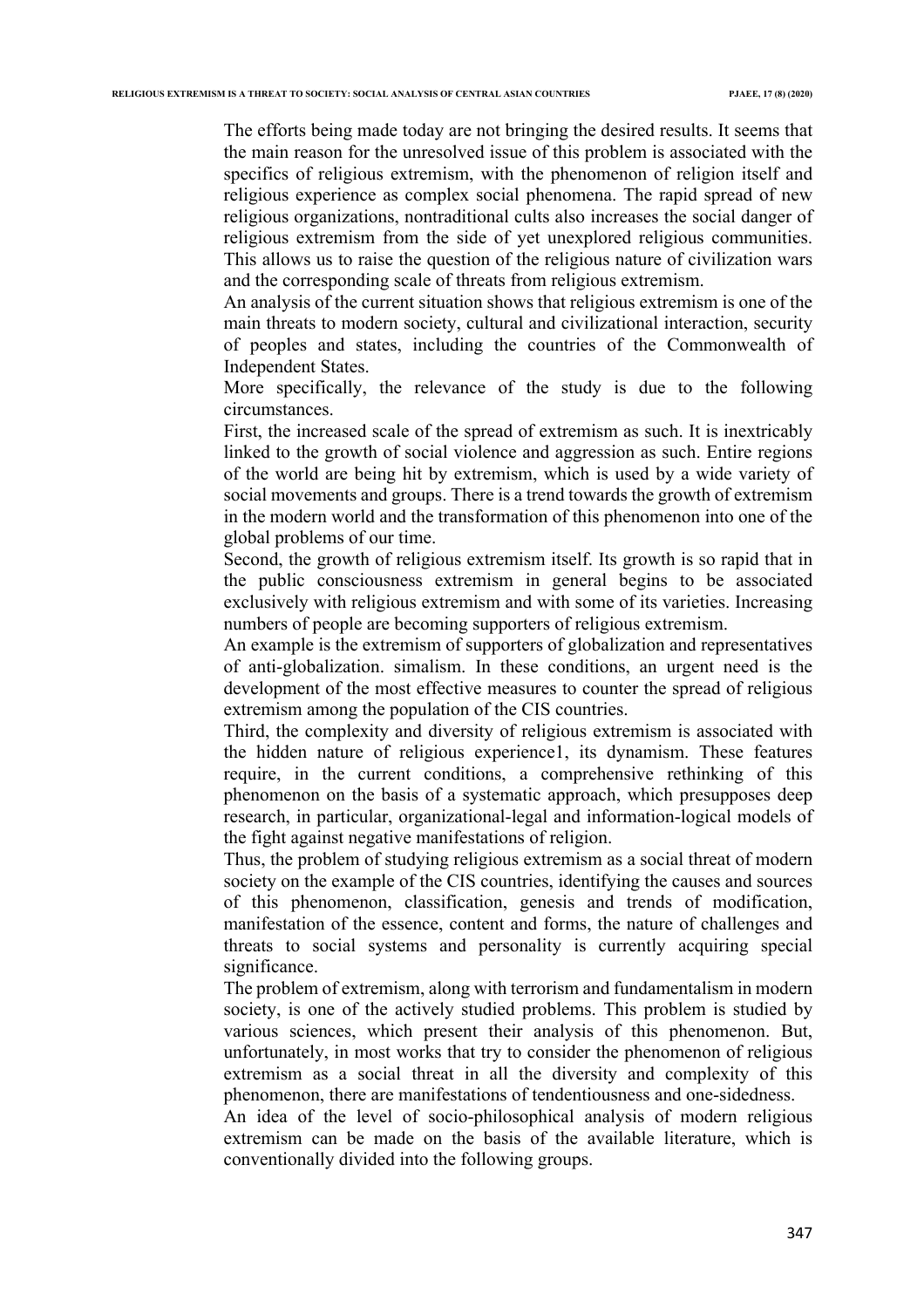The efforts being made today are not bringing the desired results. It seems that the main reason for the unresolved issue of this problem is associated with the specifics of religious extremism, with the phenomenon of religion itself and religious experience as complex social phenomena. The rapid spread of new religious organizations, nontraditional cults also increases the social danger of religious extremism from the side of yet unexplored religious communities. This allows us to raise the question of the religious nature of civilization wars and the corresponding scale of threats from religious extremism.

An analysis of the current situation shows that religious extremism is one of the main threats to modern society, cultural and civilizational interaction, security of peoples and states, including the countries of the Commonwealth of Independent States.

More specifically, the relevance of the study is due to the following circumstances.

First, the increased scale of the spread of extremism as such. It is inextricably linked to the growth of social violence and aggression as such. Entire regions of the world are being hit by extremism, which is used by a wide variety of social movements and groups. There is a trend towards the growth of extremism in the modern world and the transformation of this phenomenon into one of the global problems of our time.

Second, the growth of religious extremism itself. Its growth is so rapid that in the public consciousness extremism in general begins to be associated exclusively with religious extremism and with some of its varieties. Increasing numbers of people are becoming supporters of religious extremism.

An example is the extremism of supporters of globalization and representatives of anti-globalization. simalism. In these conditions, an urgent need is the development of the most effective measures to counter the spread of religious extremism among the population of the CIS countries.

Third, the complexity and diversity of religious extremism is associated with the hidden nature of religious experience1, its dynamism. These features require, in the current conditions, a comprehensive rethinking of this phenomenon on the basis of a systematic approach, which presupposes deep research, in particular, organizational-legal and information-logical models of the fight against negative manifestations of religion.

Thus, the problem of studying religious extremism as a social threat of modern society on the example of the CIS countries, identifying the causes and sources of this phenomenon, classification, genesis and trends of modification, manifestation of the essence, content and forms, the nature of challenges and threats to social systems and personality is currently acquiring special significance.

The problem of extremism, along with terrorism and fundamentalism in modern society, is one of the actively studied problems. This problem is studied by various sciences, which present their analysis of this phenomenon. But, unfortunately, in most works that try to consider the phenomenon of religious extremism as a social threat in all the diversity and complexity of this phenomenon, there are manifestations of tendentiousness and one-sidedness.

An idea of the level of socio-philosophical analysis of modern religious extremism can be made on the basis of the available literature, which is conventionally divided into the following groups.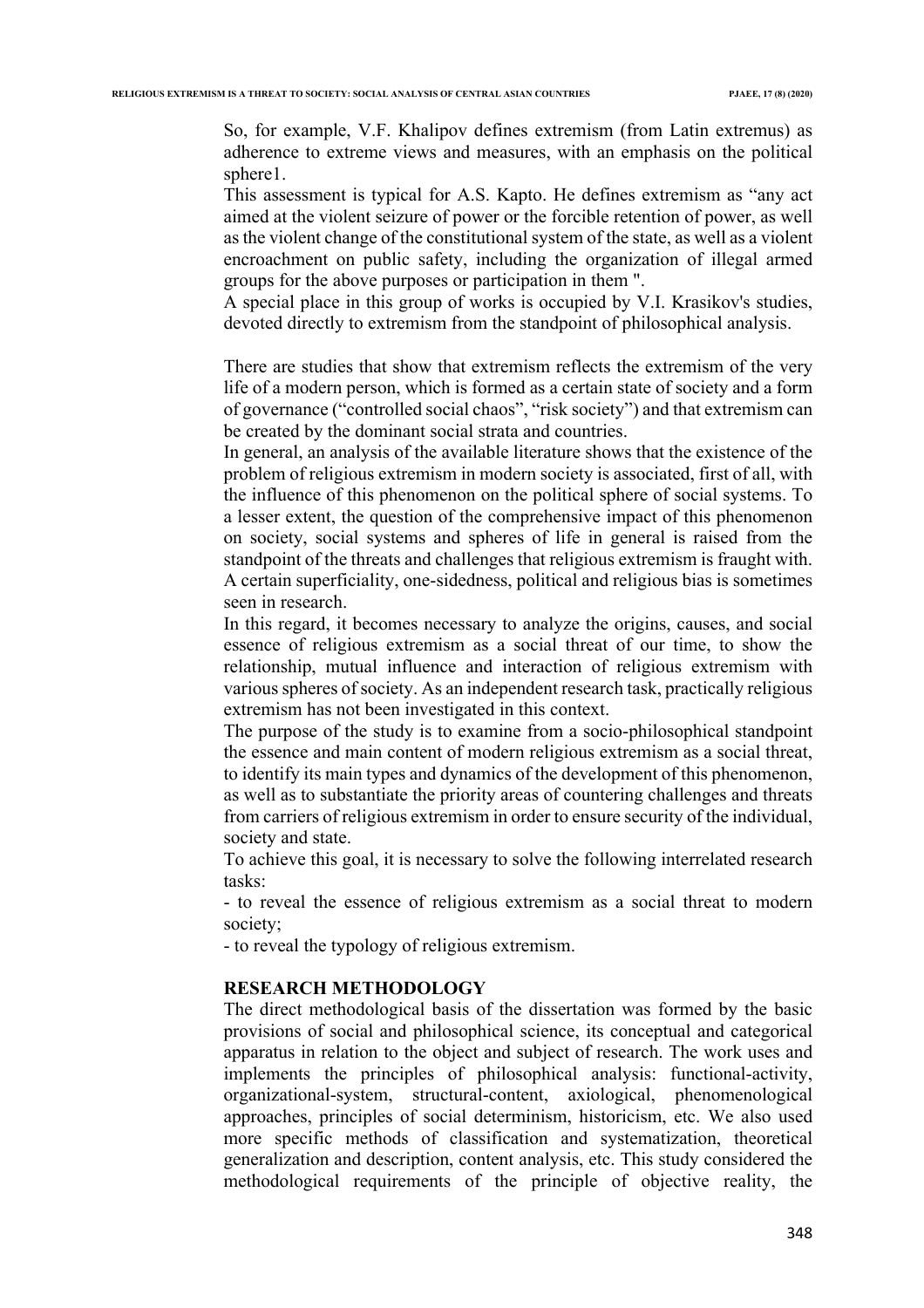So, for example, V.F. Khalipov defines extremism (from Latin extremus) as adherence to extreme views and measures, with an emphasis on the political sphere1.

This assessment is typical for A.S. Kapto. He defines extremism as "any act aimed at the violent seizure of power or the forcible retention of power, as well as the violent change of the constitutional system of the state, as well as a violent encroachment on public safety, including the organization of illegal armed groups for the above purposes or participation in them ".

A special place in this group of works is occupied by V.I. Krasikov's studies, devoted directly to extremism from the standpoint of philosophical analysis.

There are studies that show that extremism reflects the extremism of the very life of a modern person, which is formed as a certain state of society and a form of governance ("controlled social chaos", "risk society") and that extremism can be created by the dominant social strata and countries.

In general, an analysis of the available literature shows that the existence of the problem of religious extremism in modern society is associated, first of all, with the influence of this phenomenon on the political sphere of social systems. To a lesser extent, the question of the comprehensive impact of this phenomenon on society, social systems and spheres of life in general is raised from the standpoint of the threats and challenges that religious extremism is fraught with. A certain superficiality, one-sidedness, political and religious bias is sometimes seen in research.

In this regard, it becomes necessary to analyze the origins, causes, and social essence of religious extremism as a social threat of our time, to show the relationship, mutual influence and interaction of religious extremism with various spheres of society. As an independent research task, practically religious extremism has not been investigated in this context.

The purpose of the study is to examine from a socio-philosophical standpoint the essence and main content of modern religious extremism as a social threat, to identify its main types and dynamics of the development of this phenomenon, as well as to substantiate the priority areas of countering challenges and threats from carriers of religious extremism in order to ensure security of the individual, society and state.

To achieve this goal, it is necessary to solve the following interrelated research tasks:

- to reveal the essence of religious extremism as a social threat to modern society;

- to reveal the typology of religious extremism.

### **RESEARCH METHODOLOGY**

The direct methodological basis of the dissertation was formed by the basic provisions of social and philosophical science, its conceptual and categorical apparatus in relation to the object and subject of research. The work uses and implements the principles of philosophical analysis: functional-activity, organizational-system, structural-content, axiological, phenomenological approaches, principles of social determinism, historicism, etc. We also used more specific methods of classification and systematization, theoretical generalization and description, content analysis, etc. This study considered the methodological requirements of the principle of objective reality, the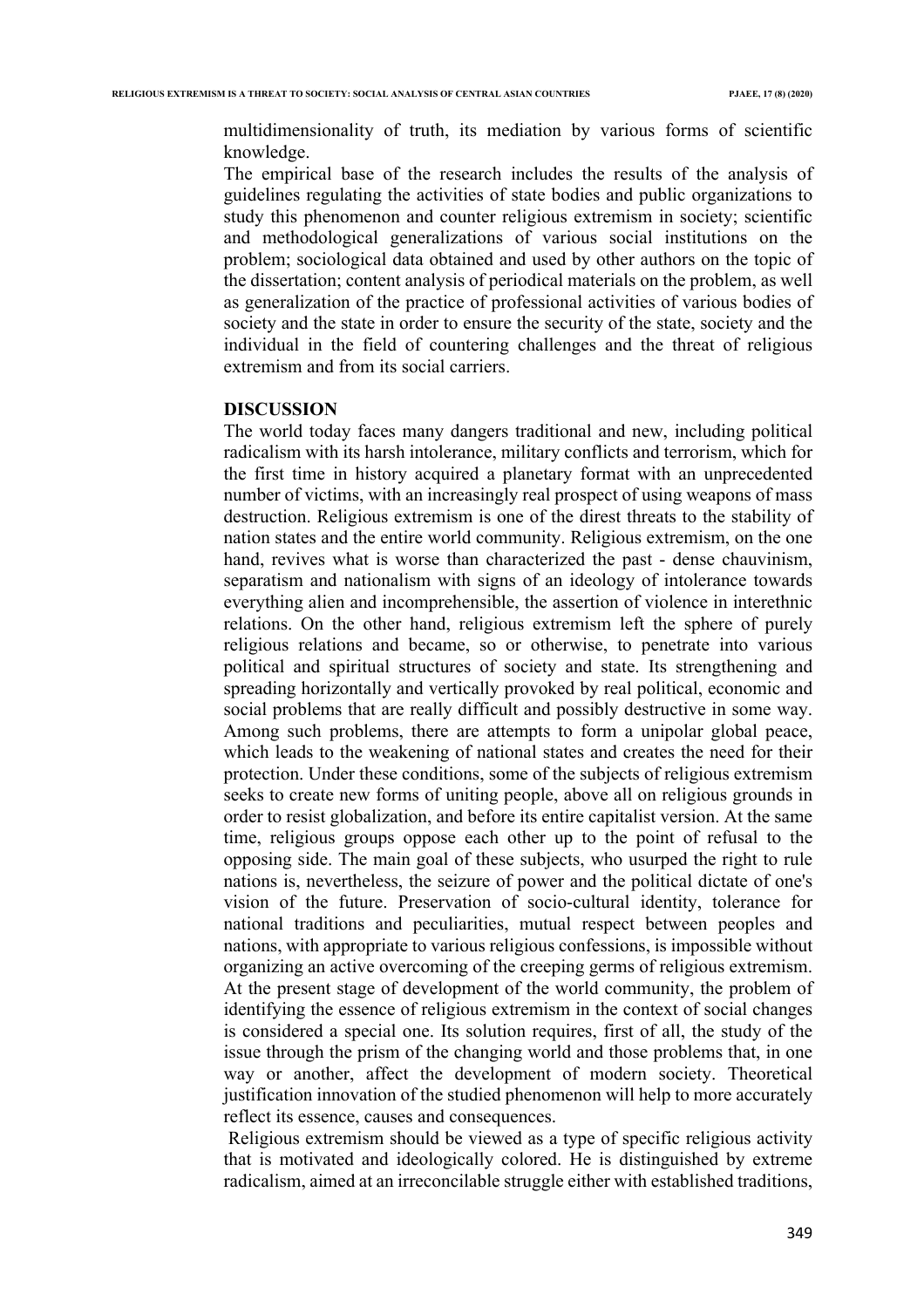multidimensionality of truth, its mediation by various forms of scientific knowledge.

The empirical base of the research includes the results of the analysis of guidelines regulating the activities of state bodies and public organizations to study this phenomenon and counter religious extremism in society; scientific and methodological generalizations of various social institutions on the problem; sociological data obtained and used by other authors on the topic of the dissertation; content analysis of periodical materials on the problem, as well as generalization of the practice of professional activities of various bodies of society and the state in order to ensure the security of the state, society and the individual in the field of countering challenges and the threat of religious extremism and from its social carriers.

#### **DISCUSSION**

The world today faces many dangers traditional and new, including political radicalism with its harsh intolerance, military conflicts and terrorism, which for the first time in history acquired a planetary format with an unprecedented number of victims, with an increasingly real prospect of using weapons of mass destruction. Religious extremism is one of the direst threats to the stability of nation states and the entire world community. Religious extremism, on the one hand, revives what is worse than characterized the past - dense chauvinism, separatism and nationalism with signs of an ideology of intolerance towards everything alien and incomprehensible, the assertion of violence in interethnic relations. On the other hand, religious extremism left the sphere of purely religious relations and became, so or otherwise, to penetrate into various political and spiritual structures of society and state. Its strengthening and spreading horizontally and vertically provoked by real political, economic and social problems that are really difficult and possibly destructive in some way. Among such problems, there are attempts to form a unipolar global peace, which leads to the weakening of national states and creates the need for their protection. Under these conditions, some of the subjects of religious extremism seeks to create new forms of uniting people, above all on religious grounds in order to resist globalization, and before its entire capitalist version. At the same time, religious groups oppose each other up to the point of refusal to the opposing side. The main goal of these subjects, who usurped the right to rule nations is, nevertheless, the seizure of power and the political dictate of one's vision of the future. Preservation of socio-cultural identity, tolerance for national traditions and peculiarities, mutual respect between peoples and nations, with appropriate to various religious confessions, is impossible without organizing an active overcoming of the creeping germs of religious extremism. At the present stage of development of the world community, the problem of identifying the essence of religious extremism in the context of social changes is considered a special one. Its solution requires, first of all, the study of the issue through the prism of the changing world and those problems that, in one way or another, affect the development of modern society. Theoretical justification innovation of the studied phenomenon will help to more accurately reflect its essence, causes and consequences.

Religious extremism should be viewed as a type of specific religious activity that is motivated and ideologically colored. He is distinguished by extreme radicalism, aimed at an irreconcilable struggle either with established traditions,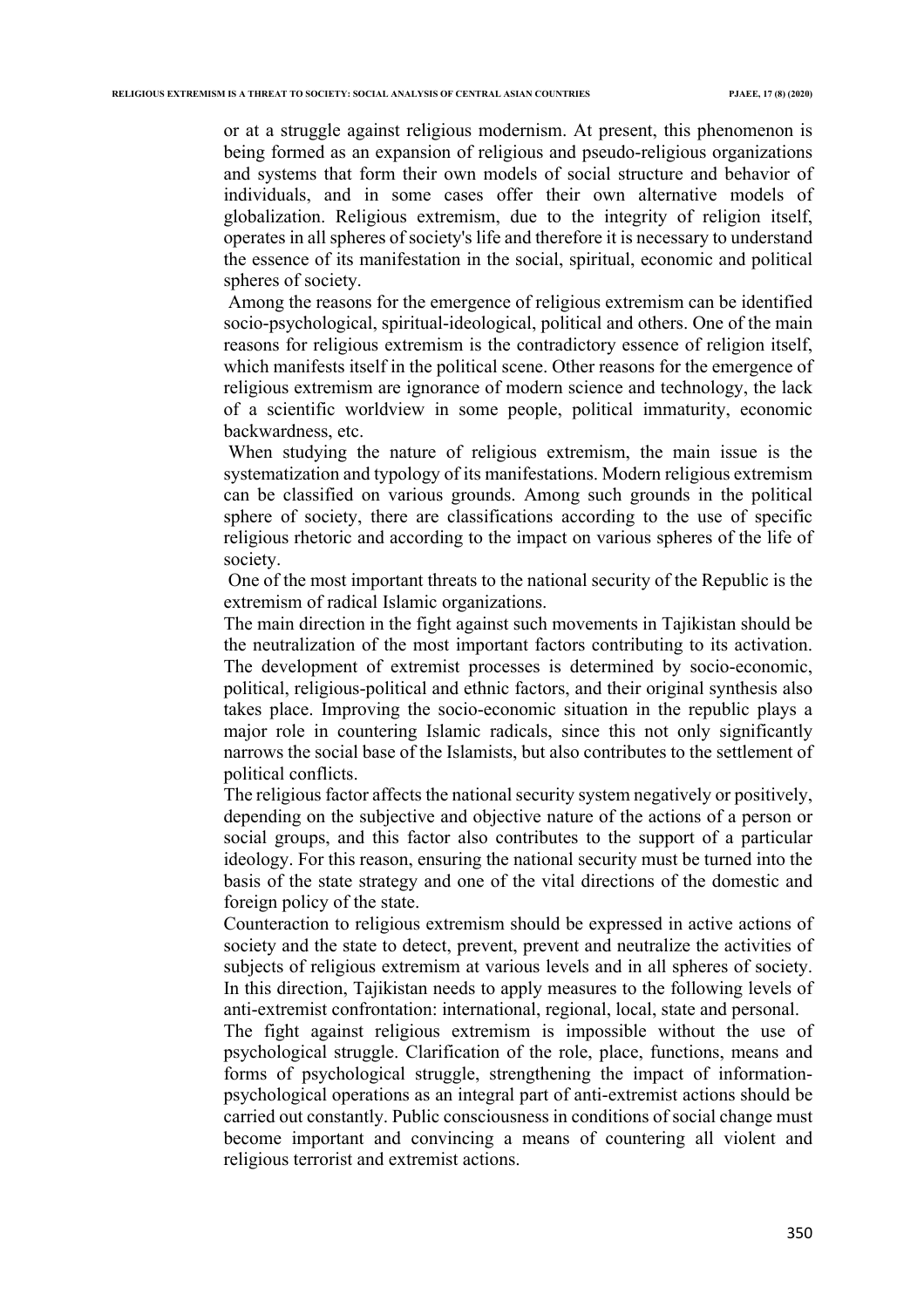or at a struggle against religious modernism. At present, this phenomenon is being formed as an expansion of religious and pseudo-religious organizations and systems that form their own models of social structure and behavior of individuals, and in some cases offer their own alternative models of globalization. Religious extremism, due to the integrity of religion itself, operates in all spheres of society's life and therefore it is necessary to understand the essence of its manifestation in the social, spiritual, economic and political spheres of society.

Among the reasons for the emergence of religious extremism can be identified socio-psychological, spiritual-ideological, political and others. One of the main reasons for religious extremism is the contradictory essence of religion itself, which manifests itself in the political scene. Other reasons for the emergence of religious extremism are ignorance of modern science and technology, the lack of a scientific worldview in some people, political immaturity, economic backwardness, etc.

When studying the nature of religious extremism, the main issue is the systematization and typology of its manifestations. Modern religious extremism can be classified on various grounds. Among such grounds in the political sphere of society, there are classifications according to the use of specific religious rhetoric and according to the impact on various spheres of the life of society.

One of the most important threats to the national security of the Republic is the extremism of radical Islamic organizations.

The main direction in the fight against such movements in Tajikistan should be the neutralization of the most important factors contributing to its activation. The development of extremist processes is determined by socio-economic, political, religious-political and ethnic factors, and their original synthesis also takes place. Improving the socio-economic situation in the republic plays a major role in countering Islamic radicals, since this not only significantly narrows the social base of the Islamists, but also contributes to the settlement of political conflicts.

The religious factor affects the national security system negatively or positively, depending on the subjective and objective nature of the actions of a person or social groups, and this factor also contributes to the support of a particular ideology. For this reason, ensuring the national security must be turned into the basis of the state strategy and one of the vital directions of the domestic and foreign policy of the state.

Counteraction to religious extremism should be expressed in active actions of society and the state to detect, prevent, prevent and neutralize the activities of subjects of religious extremism at various levels and in all spheres of society. In this direction, Tajikistan needs to apply measures to the following levels of anti-extremist confrontation: international, regional, local, state and personal.

The fight against religious extremism is impossible without the use of psychological struggle. Clarification of the role, place, functions, means and forms of psychological struggle, strengthening the impact of informationpsychological operations as an integral part of anti-extremist actions should be carried out constantly. Public consciousness in conditions of social change must become important and convincing a means of countering all violent and religious terrorist and extremist actions.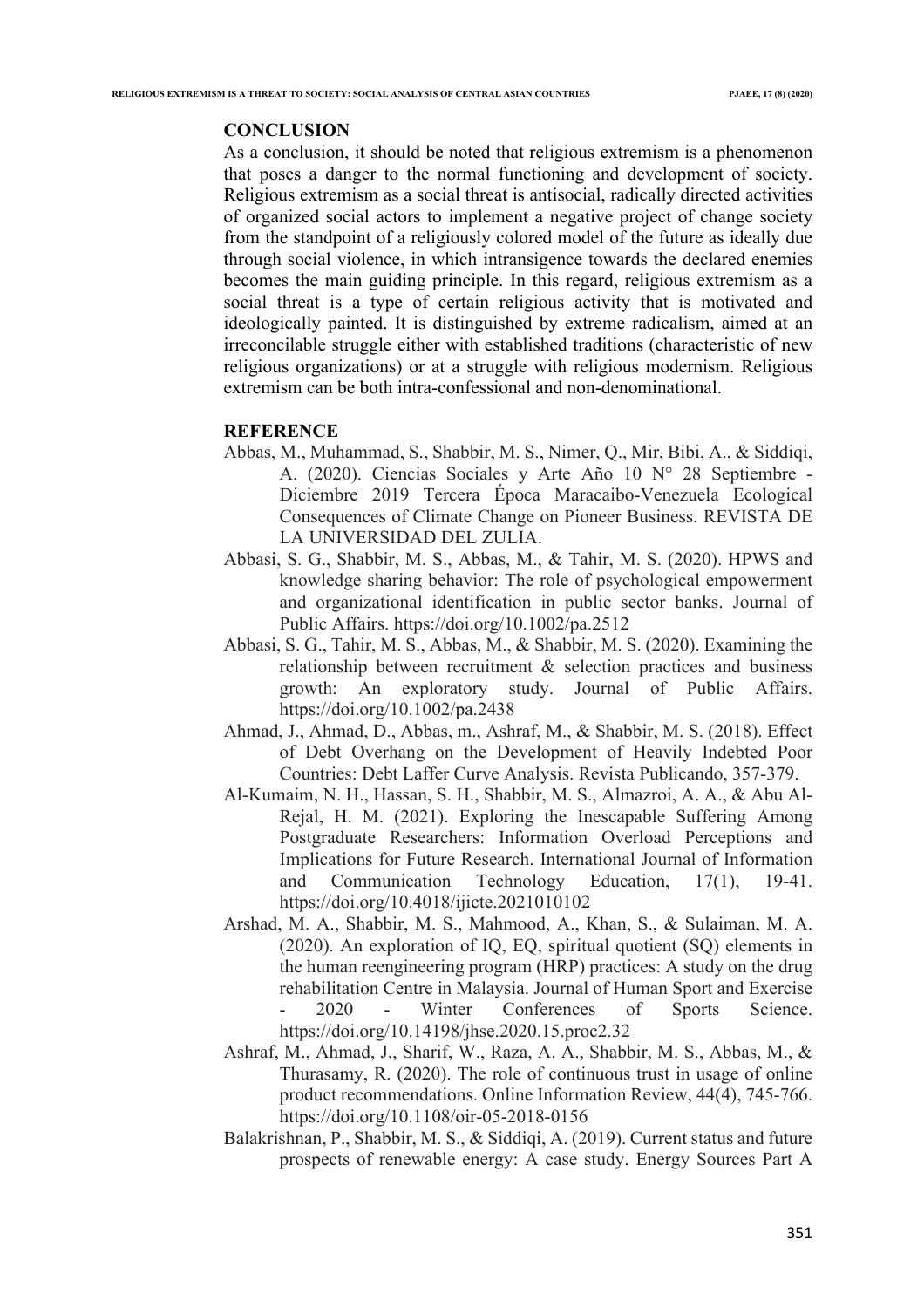#### **CONCLUSION**

As a conclusion, it should be noted that religious extremism is a phenomenon that poses a danger to the normal functioning and development of society. Religious extremism as a social threat is antisocial, radically directed activities of organized social actors to implement a negative project of change society from the standpoint of a religiously colored model of the future as ideally due through social violence, in which intransigence towards the declared enemies becomes the main guiding principle. In this regard, religious extremism as a social threat is a type of certain religious activity that is motivated and ideologically painted. It is distinguished by extreme radicalism, aimed at an irreconcilable struggle either with established traditions (characteristic of new religious organizations) or at a struggle with religious modernism. Religious extremism can be both intra-confessional and non-denominational.

#### **REFERENCE**

- Abbas, M., Muhammad, S., Shabbir, M. S., Nimer, Q., Mir, Bibi, A., & Siddiqi, A. (2020). Ciencias Sociales y Arte Año 10 N° 28 Septiembre - Diciembre 2019 Tercera Época Maracaibo-Venezuela Ecological Consequences of Climate Change on Pioneer Business. REVISTA DE LA UNIVERSIDAD DEL ZULIA.
- Abbasi, S. G., Shabbir, M. S., Abbas, M., & Tahir, M. S. (2020). HPWS and knowledge sharing behavior: The role of psychological empowerment and organizational identification in public sector banks. Journal of Public Affairs. https://doi.org/10.1002/pa.2512
- Abbasi, S. G., Tahir, M. S., Abbas, M., & Shabbir, M. S. (2020). Examining the relationship between recruitment & selection practices and business growth: An exploratory study. Journal of Public Affairs. https://doi.org/10.1002/pa.2438
- Ahmad, J., Ahmad, D., Abbas, m., Ashraf, M., & Shabbir, M. S. (2018). Effect of Debt Overhang on the Development of Heavily Indebted Poor Countries: Debt Laffer Curve Analysis. Revista Publicando, 357-379.
- Al-Kumaim, N. H., Hassan, S. H., Shabbir, M. S., Almazroi, A. A., & Abu Al-Rejal, H. M. (2021). Exploring the Inescapable Suffering Among Postgraduate Researchers: Information Overload Perceptions and Implications for Future Research. International Journal of Information and Communication Technology Education, 17(1), 19-41. https://doi.org/10.4018/ijicte.2021010102
- Arshad, M. A., Shabbir, M. S., Mahmood, A., Khan, S., & Sulaiman, M. A. (2020). An exploration of IQ, EQ, spiritual quotient (SQ) elements in the human reengineering program (HRP) practices: A study on the drug rehabilitation Centre in Malaysia. Journal of Human Sport and Exercise - 2020 - Winter Conferences of Sports Science. https://doi.org/10.14198/jhse.2020.15.proc2.32
- Ashraf, M., Ahmad, J., Sharif, W., Raza, A. A., Shabbir, M. S., Abbas, M., & Thurasamy, R. (2020). The role of continuous trust in usage of online product recommendations. Online Information Review, 44(4), 745-766. https://doi.org/10.1108/oir-05-2018-0156
- Balakrishnan, P., Shabbir, M. S., & Siddiqi, A. (2019). Current status and future prospects of renewable energy: A case study. Energy Sources Part A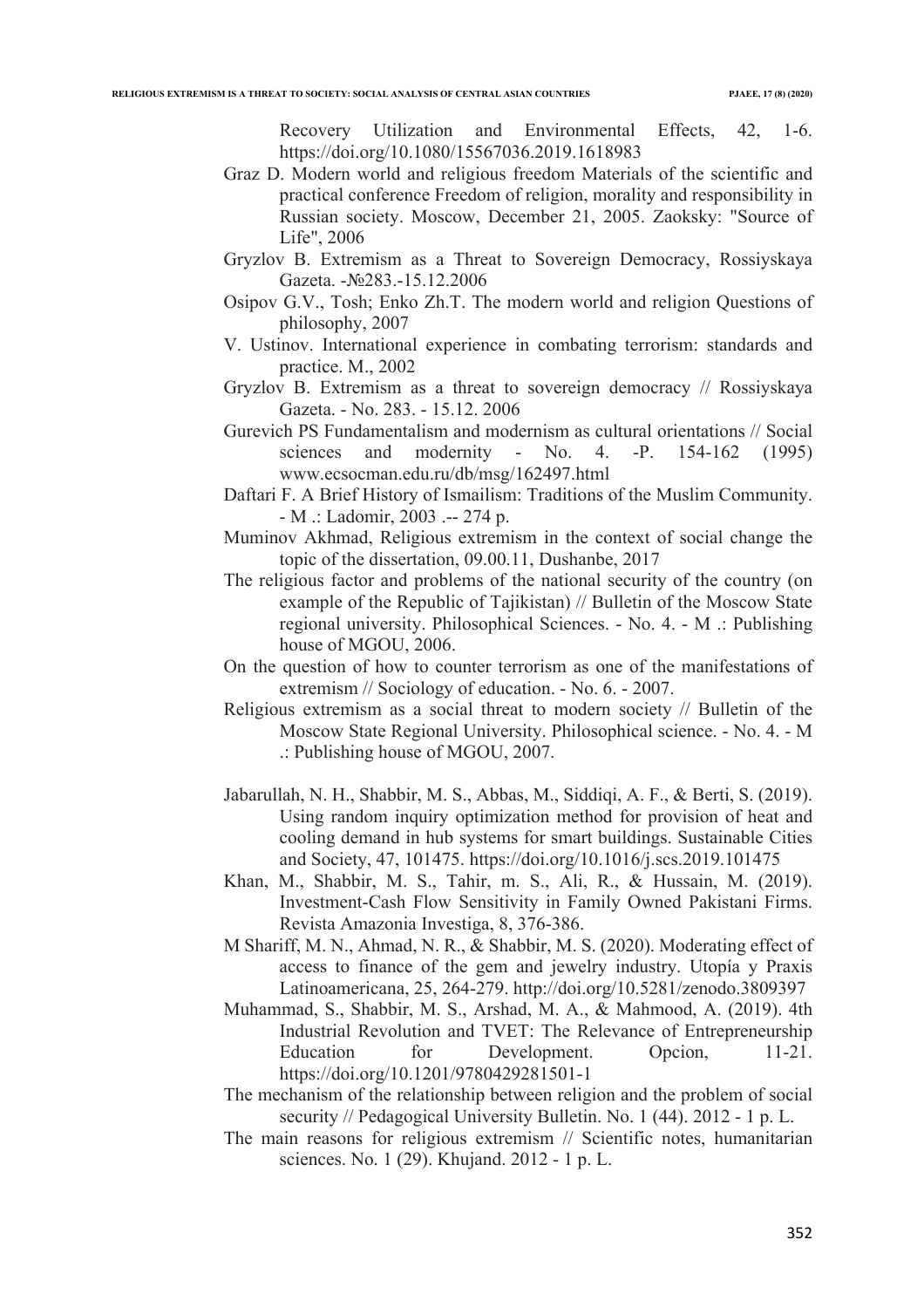Recovery Utilization and Environmental Effects, 42, 1-6. https://doi.org/10.1080/15567036.2019.1618983

- Graz D. Modern world and religious freedom Materials of the scientific and practical conference Freedom of religion, morality and responsibility in Russian society. Moscow, December 21, 2005. Zaoksky: "Source of Life", 2006
- Gryzlov B. Extremism as a Threat to Sovereign Democracy, Rossiyskaya Gazeta. -№283.-15.12.2006
- Osipov G.V., Tosh; Enko Zh.T. The modern world and religion Questions of philosophy, 2007
- V. Ustinov. International experience in combating terrorism: standards and practice. M., 2002
- Gryzlov B. Extremism as a threat to sovereign democracy // Rossiyskaya Gazeta. - No. 283. - 15.12. 2006
- Gurevich PS Fundamentalism and modernism as cultural orientations // Social sciences and modernity - No. 4. -P. 154-162 (1995) www.ecsocman.edu.ru/db/msg/162497.html
- Daftari F. A Brief History of Ismailism: Traditions of the Muslim Community. - M .: Ladomir, 2003 .-- 274 p.
- Muminov Akhmad, Religious extremism in the context of social change the topic of the dissertation, 09.00.11, Dushanbe, 2017
- The religious factor and problems of the national security of the country (on example of the Republic of Tajikistan) // Bulletin of the Moscow State regional university. Philosophical Sciences. - No. 4. - M .: Publishing house of MGOU, 2006.
- On the question of how to counter terrorism as one of the manifestations of extremism // Sociology of education. - No. 6. - 2007.
- Religious extremism as a social threat to modern society // Bulletin of the Moscow State Regional University. Philosophical science. - No. 4. - M .: Publishing house of MGOU, 2007.
- Jabarullah, N. H., Shabbir, M. S., Abbas, M., Siddiqi, A. F., & Berti, S. (2019). Using random inquiry optimization method for provision of heat and cooling demand in hub systems for smart buildings. Sustainable Cities and Society, 47, 101475. https://doi.org/10.1016/j.scs.2019.101475
- Khan, M., Shabbir, M. S., Tahir, m. S., Ali, R., & Hussain, M. (2019). Investment-Cash Flow Sensitivity in Family Owned Pakistani Firms. Revista Amazonia Investiga, 8, 376-386.
- M Shariff, M. N., Ahmad, N. R., & Shabbir, M. S. (2020). Moderating effect of access to finance of the gem and jewelry industry. Utopía y Praxis Latinoamericana, 25, 264-279. http://doi.org/10.5281/zenodo.3809397
- Muhammad, S., Shabbir, M. S., Arshad, M. A., & Mahmood, A. (2019). 4th Industrial Revolution and TVET: The Relevance of Entrepreneurship Education for Development. Opcion, 11-21. https://doi.org/10.1201/9780429281501-1
- The mechanism of the relationship between religion and the problem of social security // Pedagogical University Bulletin. No. 1 (44). 2012 - 1 p. L.
- The main reasons for religious extremism // Scientific notes, humanitarian sciences. No. 1 (29). Khujand. 2012 - 1 p. L.